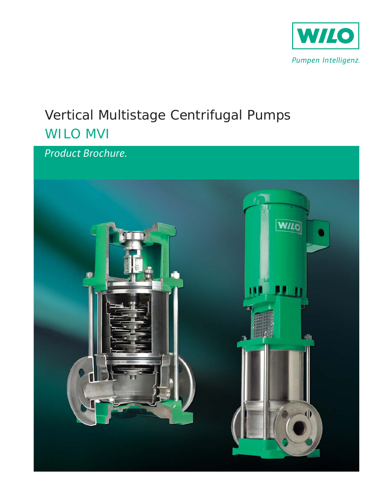

# Vertical Multistage Centrifugal Pumps **WILO MVI**

Product Brochure.